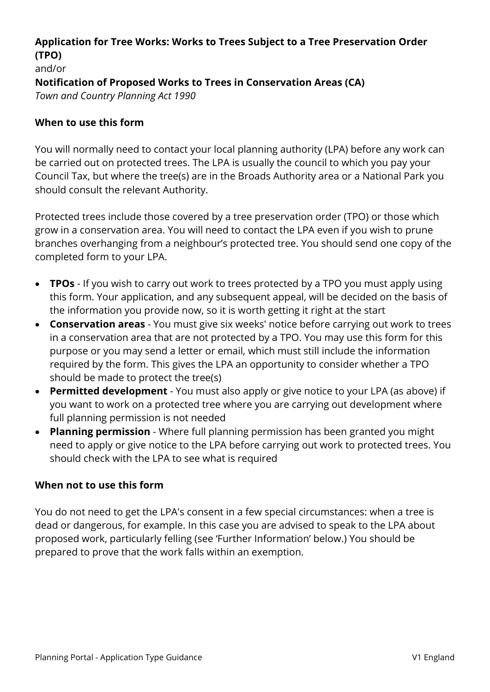## **Application for Tree Works: Works to Trees Subject to a Tree Preservation Order (TPO)**  and/or **Notification of Proposed Works to Trees in Conservation Areas (CA)** *Town and Country Planning Act 1990*

#### **When to use this form**

You will normally need to contact your local planning authority (LPA) before any work can be carried out on protected trees. The LPA is usually the council to which you pay your Council Tax, but where the tree(s) are in the Broads Authority area or a National Park you should consult the relevant Authority.

Protected trees include those covered by a tree preservation order (TPO) or those which grow in a conservation area. You will need to contact the LPA even if you wish to prune branches overhanging from a neighbour's protected tree. You should send one copy of the completed form to your LPA.

- **TPOs** If you wish to carry out work to trees protected by a TPO you must apply using this form. Your application, and any subsequent appeal, will be decided on the basis of the information you provide now, so it is worth getting it right at the start
- **Conservation areas** You must give six weeks' notice before carrying out work to trees in a conservation area that are not protected by a TPO. You may use this form for this purpose or you may send a letter or email, which must still include the information required by the form. This gives the LPA an opportunity to consider whether a TPO should be made to protect the tree(s)
- **Permitted development** You must also apply or give notice to your LPA (as above) if you want to work on a protected tree where you are carrying out development where full planning permission is not needed
- **Planning permission**  Where full planning permission has been granted you might need to apply or give notice to the LPA before carrying out work to protected trees. You should check with the LPA to see what is required

#### **When not to use this form**

You do not need to get the LPA's consent in a few special circumstances: when a tree is dead or dangerous, for example. In this case you are advised to speak to the LPA about proposed work, particularly felling (see 'Further Information' below.) You should be prepared to prove that the work falls within an exemption.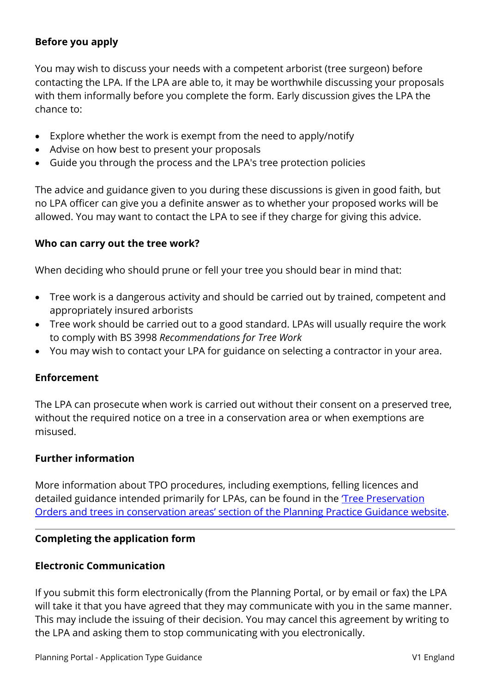### **Before you apply**

You may wish to discuss your needs with a competent arborist (tree surgeon) before contacting the LPA. If the LPA are able to, it may be worthwhile discussing your proposals with them informally before you complete the form. Early discussion gives the LPA the chance to:

- Explore whether the work is exempt from the need to apply/notify
- Advise on how best to present your proposals
- Guide you through the process and the LPA's tree protection policies

The advice and guidance given to you during these discussions is given in good faith, but no LPA officer can give you a definite answer as to whether your proposed works will be allowed. You may want to contact the LPA to see if they charge for giving this advice.

#### **Who can carry out the tree work?**

When deciding who should prune or fell your tree you should bear in mind that:

- Tree work is a dangerous activity and should be carried out by trained, competent and appropriately insured arborists
- Tree work should be carried out to a good standard. LPAs will usually require the work to comply with BS 3998 *Recommendations for Tree Work*
- You may wish to contact your LPA for guidance on selecting a contractor in your area.

### **Enforcement**

The LPA can prosecute when work is carried out without their consent on a preserved tree, without the required notice on a tree in a conservation area or when exemptions are misused.

#### **Further information**

More information about TPO procedures, including exemptions, felling licences and detailed guidance intended primarily for LPAs, can be found in the ['Tree Preservation](http://planningguidance.communities.gov.uk/blog/guidance/tree-preservation-orders/)  [Orders and trees in conservation areas' section of the Planning Practice Guidance website.](http://planningguidance.communities.gov.uk/blog/guidance/tree-preservation-orders/)

### **Completing the application form**

#### **Electronic Communication**

If you submit this form electronically (from the Planning Portal, or by email or fax) the LPA will take it that you have agreed that they may communicate with you in the same manner. This may include the issuing of their decision. You may cancel this agreement by writing to the LPA and asking them to stop communicating with you electronically.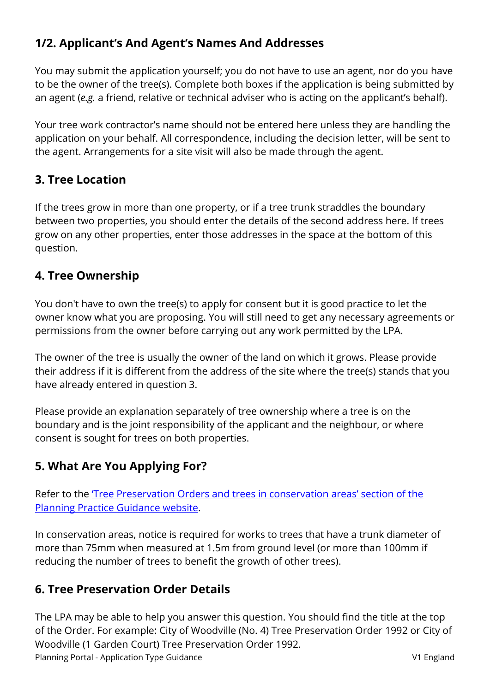# **1/2. Applicant's And Agent's Names And Addresses**

You may submit the application yourself; you do not have to use an agent, nor do you have to be the owner of the tree(s). Complete both boxes if the application is being submitted by an agent (*e.g.* a friend, relative or technical adviser who is acting on the applicant's behalf).

Your tree work contractor's name should not be entered here unless they are handling the application on your behalf. All correspondence, including the decision letter, will be sent to the agent. Arrangements for a site visit will also be made through the agent.

## **3. Tree Location**

If the trees grow in more than one property, or if a tree trunk straddles the boundary between two properties, you should enter the details of the second address here. If trees grow on any other properties, enter those addresses in the space at the bottom of this question.

## **4. Tree Ownership**

You don't have to own the tree(s) to apply for consent but it is good practice to let the owner know what you are proposing. You will still need to get any necessary agreements or permissions from the owner before carrying out any work permitted by the LPA.

The owner of the tree is usually the owner of the land on which it grows. Please provide their address if it is different from the address of the site where the tree(s) stands that you have already entered in question 3.

Please provide an explanation separately of tree ownership where a tree is on the boundary and is the joint responsibility of the applicant and the neighbour, or where consent is sought for trees on both properties.

## **5. What Are You Applying For?**

Refer to the ['Tree Preservation Orders and trees in conservation areas' section of the](http://planningguidance.communities.gov.uk/blog/guidance/tree-preservation-orders/)  [Planning Practice Guidance website.](http://planningguidance.communities.gov.uk/blog/guidance/tree-preservation-orders/)

In conservation areas, notice is required for works to trees that have a trunk diameter of more than 75mm when measured at 1.5m from ground level (or more than 100mm if reducing the number of trees to benefit the growth of other trees).

## **6. Tree Preservation Order Details**

Planning Portal - Application Type Guidance V1 England The LPA may be able to help you answer this question. You should find the title at the top of the Order. For example: City of Woodville (No. 4) Tree Preservation Order 1992 or City of Woodville (1 Garden Court) Tree Preservation Order 1992.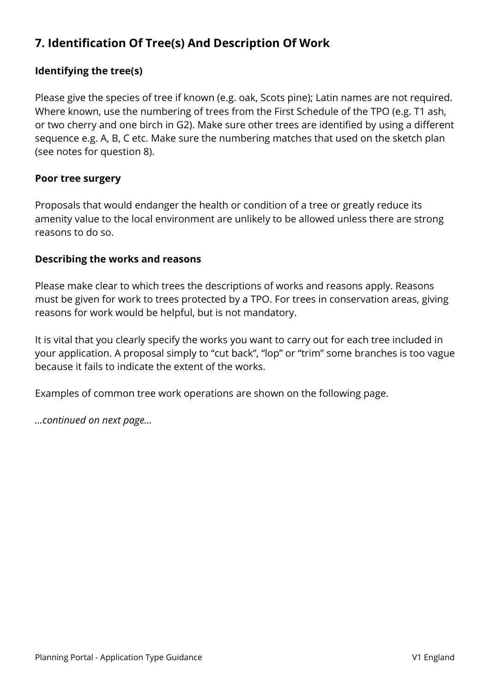# **7. Identification Of Tree(s) And Description Of Work**

## **Identifying the tree(s)**

Please give the species of tree if known (e.g. oak, Scots pine); Latin names are not required. Where known, use the numbering of trees from the First Schedule of the TPO (e.g. T1 ash, or two cherry and one birch in G2). Make sure other trees are identified by using a different sequence e.g. A, B, C etc. Make sure the numbering matches that used on the sketch plan (see notes for question 8).

#### **Poor tree surgery**

Proposals that would endanger the health or condition of a tree or greatly reduce its amenity value to the local environment are unlikely to be allowed unless there are strong reasons to do so.

#### **Describing the works and reasons**

Please make clear to which trees the descriptions of works and reasons apply. Reasons must be given for work to trees protected by a TPO. For trees in conservation areas, giving reasons for work would be helpful, but is not mandatory.

It is vital that you clearly specify the works you want to carry out for each tree included in your application. A proposal simply to "cut back", "lop" or "trim" some branches is too vague because it fails to indicate the extent of the works.

Examples of common tree work operations are shown on the following page.

*…continued on next page…*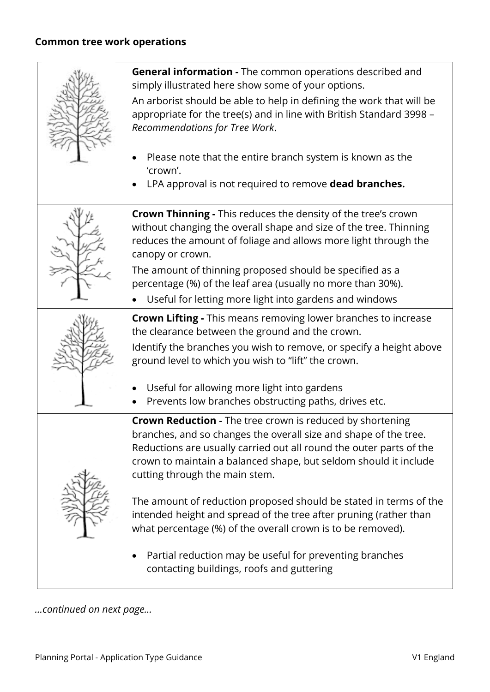

**General information -** The common operations described and simply illustrated here show some of your options.

An arborist should be able to help in defining the work that will be appropriate for the tree(s) and in line with British Standard 3998 – *Recommendations for Tree Work*.

- Please note that the entire branch system is known as the 'crown'.
- LPA approval is not required to remove **dead branches.**



**Crown Thinning -** This reduces the density of the tree's crown without changing the overall shape and size of the tree. Thinning reduces the amount of foliage and allows more light through the canopy or crown.

The amount of thinning proposed should be specified as a percentage (%) of the leaf area (usually no more than 30%).

• Useful for letting more light into gardens and windows

**Crown Lifting -** This means removing lower branches to increase the clearance between the ground and the crown.

Identify the branches you wish to remove, or specify a height above ground level to which you wish to "lift" the crown.

- Useful for allowing more light into gardens
- Prevents low branches obstructing paths, drives etc.

**Crown Reduction -** The tree crown is reduced by shortening branches, and so changes the overall size and shape of the tree. Reductions are usually carried out all round the outer parts of the crown to maintain a balanced shape, but seldom should it include cutting through the main stem.



The amount of reduction proposed should be stated in terms of the intended height and spread of the tree after pruning (rather than what percentage (%) of the overall crown is to be removed).

• Partial reduction may be useful for preventing branches contacting buildings, roofs and guttering

*…continued on next page…*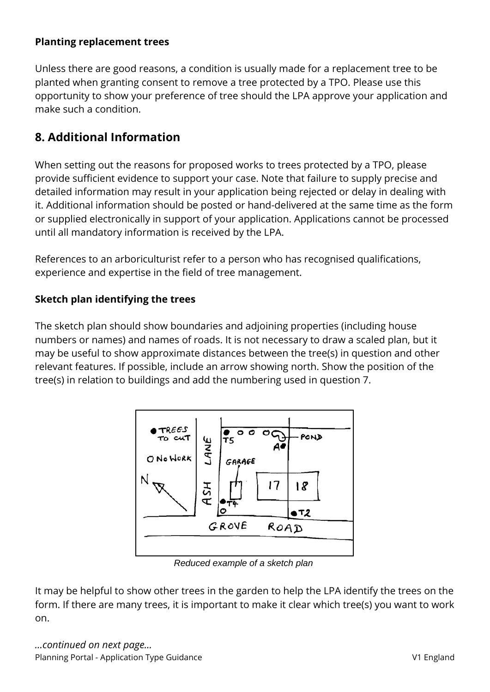### **Planting replacement trees**

Unless there are good reasons, a condition is usually made for a replacement tree to be planted when granting consent to remove a tree protected by a TPO. Please use this opportunity to show your preference of tree should the LPA approve your application and make such a condition.

## **8. Additional Information**

When setting out the reasons for proposed works to trees protected by a TPO, please provide sufficient evidence to support your case. Note that failure to supply precise and detailed information may result in your application being rejected or delay in dealing with it. Additional information should be posted or hand-delivered at the same time as the form or supplied electronically in support of your application. Applications cannot be processed until all mandatory information is received by the LPA.

References to an arboriculturist refer to a person who has recognised qualifications, experience and expertise in the field of tree management.

## **Sketch plan identifying the trees**

The sketch plan should show boundaries and adjoining properties (including house numbers or names) and names of roads. It is not necessary to draw a scaled plan, but it may be useful to show approximate distances between the tree(s) in question and other relevant features. If possible, include an arrow showing north. Show the position of the tree(s) in relation to buildings and add the numbering used in question 7.



*Reduced example of a sketch plan*

It may be helpful to show other trees in the garden to help the LPA identify the trees on the form. If there are many trees, it is important to make it clear which tree(s) you want to work on.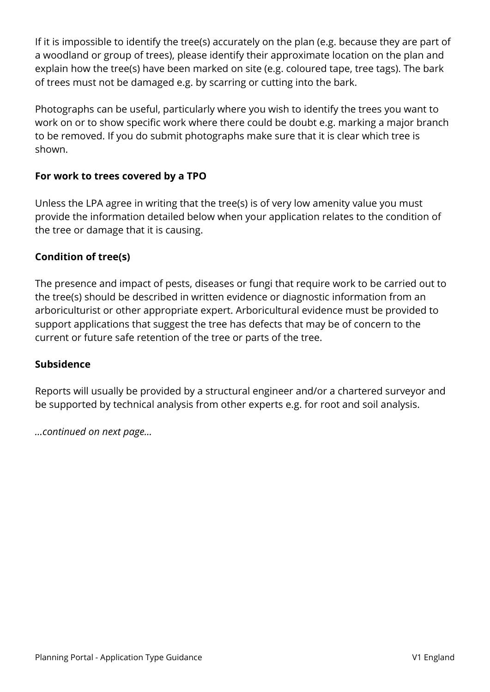If it is impossible to identify the tree(s) accurately on the plan (e.g. because they are part of a woodland or group of trees), please identify their approximate location on the plan and explain how the tree(s) have been marked on site (e.g. coloured tape, tree tags). The bark of trees must not be damaged e.g. by scarring or cutting into the bark.

Photographs can be useful, particularly where you wish to identify the trees you want to work on or to show specific work where there could be doubt e.g. marking a major branch to be removed. If you do submit photographs make sure that it is clear which tree is shown.

### **For work to trees covered by a TPO**

Unless the LPA agree in writing that the tree(s) is of very low amenity value you must provide the information detailed below when your application relates to the condition of the tree or damage that it is causing.

### **Condition of tree(s)**

The presence and impact of pests, diseases or fungi that require work to be carried out to the tree(s) should be described in written evidence or diagnostic information from an arboriculturist or other appropriate expert. Arboricultural evidence must be provided to support applications that suggest the tree has defects that may be of concern to the current or future safe retention of the tree or parts of the tree.

### **Subsidence**

Reports will usually be provided by a structural engineer and/or a chartered surveyor and be supported by technical analysis from other experts e.g. for root and soil analysis.

*…continued on next page…*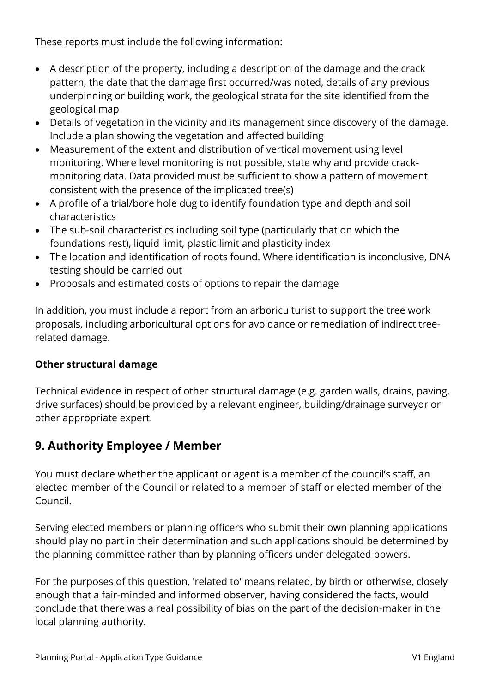These reports must include the following information:

- A description of the property, including a description of the damage and the crack pattern, the date that the damage first occurred/was noted, details of any previous underpinning or building work, the geological strata for the site identified from the geological map
- Details of vegetation in the vicinity and its management since discovery of the damage. Include a plan showing the vegetation and affected building
- Measurement of the extent and distribution of vertical movement using level monitoring. Where level monitoring is not possible, state why and provide crackmonitoring data. Data provided must be sufficient to show a pattern of movement consistent with the presence of the implicated tree(s)
- A profile of a trial/bore hole dug to identify foundation type and depth and soil characteristics
- The sub-soil characteristics including soil type (particularly that on which the foundations rest), liquid limit, plastic limit and plasticity index
- The location and identification of roots found. Where identification is inconclusive, DNA testing should be carried out
- Proposals and estimated costs of options to repair the damage

In addition, you must include a report from an arboriculturist to support the tree work proposals, including arboricultural options for avoidance or remediation of indirect treerelated damage.

### **Other structural damage**

Technical evidence in respect of other structural damage (e.g. garden walls, drains, paving, drive surfaces) should be provided by a relevant engineer, building/drainage surveyor or other appropriate expert.

## **9. Authority Employee / Member**

You must declare whether the applicant or agent is a member of the council's staff, an elected member of the Council or related to a member of staff or elected member of the Council.

Serving elected members or planning officers who submit their own planning applications should play no part in their determination and such applications should be determined by the planning committee rather than by planning officers under delegated powers.

For the purposes of this question, 'related to' means related, by birth or otherwise, closely enough that a fair-minded and informed observer, having considered the facts, would conclude that there was a real possibility of bias on the part of the decision-maker in the local planning authority.